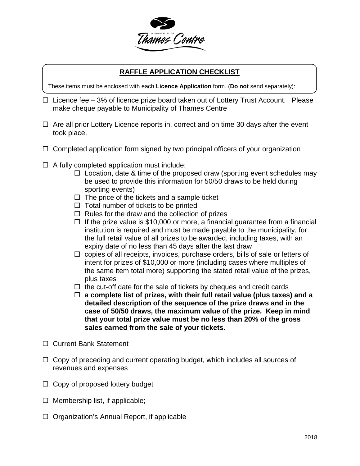

### **RAFFLE APPLICATION CHECKLIST**

These items must be enclosed with each **Licence Application** form. (**Do not** send separately):

- $\Box$  Licence fee 3% of licence prize board taken out of Lottery Trust Account. Please make cheque payable to Municipality of Thames Centre
- $\Box$  Are all prior Lottery Licence reports in, correct and on time 30 days after the event took place.
- $\Box$  Completed application form signed by two principal officers of your organization
- $\Box$  A fully completed application must include:
	- $\Box$  Location, date & time of the proposed draw (sporting event schedules may be used to provide this information for 50/50 draws to be held during sporting events)
	- $\Box$  The price of the tickets and a sample ticket
	- $\Box$  Total number of tickets to be printed
	- $\Box$  Rules for the draw and the collection of prizes
	- $\Box$  If the prize value is \$10,000 or more, a financial guarantee from a financial institution is required and must be made payable to the municipality, for the full retail value of all prizes to be awarded, including taxes, with an expiry date of no less than 45 days after the last draw
	- $\Box$  copies of all receipts, invoices, purchase orders, bills of sale or letters of intent for prizes of \$10,000 or more (including cases where multiples of the same item total more) supporting the stated retail value of the prizes, plus taxes
	- $\Box$  the cut-off date for the sale of tickets by cheques and credit cards
	- **a complete list of prizes, with their full retail value (plus taxes) and a detailed description of the sequence of the prize draws and in the case of 50/50 draws, the maximum value of the prize. Keep in mind that your total prize value must be no less than 20% of the gross sales earned from the sale of your tickets.**
- Current Bank Statement
- $\Box$  Copy of preceding and current operating budget, which includes all sources of revenues and expenses
- $\Box$  Copy of proposed lottery budget
- $\Box$  Membership list, if applicable;
- $\Box$  Organization's Annual Report, if applicable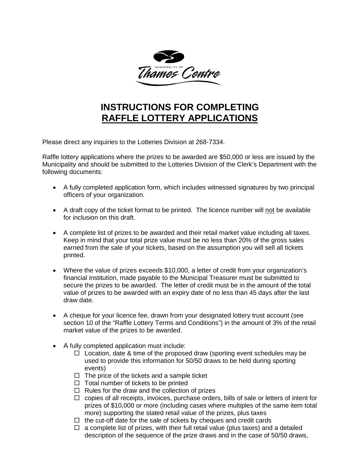

## **INSTRUCTIONS FOR COMPLETING RAFFLE LOTTERY APPLICATIONS**

Please direct any inquiries to the Lotteries Division at 268-7334.

Raffle lottery applications where the prizes to be awarded are \$50,000 or less are issued by the Municipality and should be submitted to the Lotteries Division of the Clerk's Department with the following documents:

- A fully completed application form, which includes witnessed signatures by two principal officers of your organization.
- A draft copy of the ticket format to be printed. The licence number will not be available for inclusion on this draft.
- A complete list of prizes to be awarded and their retail market value including all taxes. Keep in mind that your total prize value must be no less than 20% of the gross sales earned from the sale of your tickets, based on the assumption you will sell all tickets printed.
- Where the value of prizes exceeds \$10,000, a letter of credit from your organization's financial institution, made payable to the Municipal Treasurer must be submitted to secure the prizes to be awarded. The letter of credit must be in the amount of the total value of prizes to be awarded with an expiry date of no less than 45 days after the last draw date.
- A cheque for your licence fee, drawn from your designated lottery trust account (see section 10 of the "Raffle Lottery Terms and Conditions") in the amount of 3% of the retail market value of the prizes to be awarded.
- A fully completed application must include:
	- $\Box$  Location, date & time of the proposed draw (sporting event schedules may be used to provide this information for 50/50 draws to be held during sporting events)
	- $\Box$  The price of the tickets and a sample ticket
	- $\Box$  Total number of tickets to be printed
	- $\Box$  Rules for the draw and the collection of prizes
	- $\Box$  copies of all receipts, invoices, purchase orders, bills of sale or letters of intent for prizes of \$10,000 or more (including cases where multiples of the same item total more) supporting the stated retail value of the prizes, plus taxes
	- $\Box$  the cut-off date for the sale of tickets by cheques and credit cards
	- $\Box$  a complete list of prizes, with their full retail value (plus taxes) and a detailed description of the sequence of the prize draws and in the case of 50/50 draws,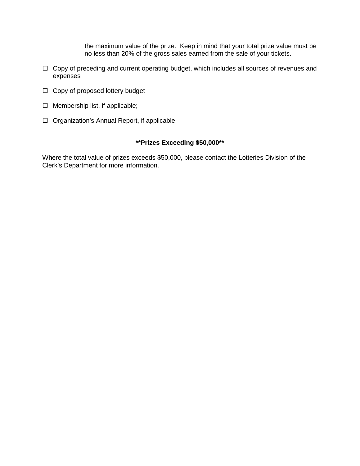the maximum value of the prize. Keep in mind that your total prize value must be no less than 20% of the gross sales earned from the sale of your tickets.

- $\Box$  Copy of preceding and current operating budget, which includes all sources of revenues and expenses
- $\Box$  Copy of proposed lottery budget
- $\Box$  Membership list, if applicable;
- $\Box$  Organization's Annual Report, if applicable

#### **\*\*Prizes Exceeding \$50,000\*\***

Where the total value of prizes exceeds \$50,000, please contact the Lotteries Division of the Clerk's Department for more information.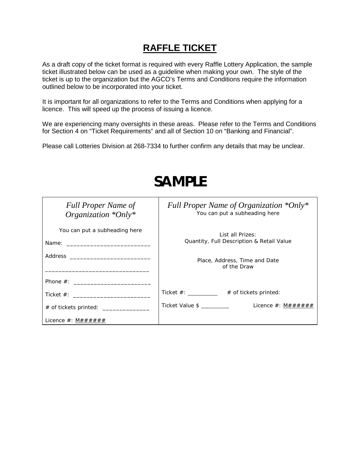## **RAFFLE TICKET**

As a draft copy of the ticket format is required with every Raffle Lottery Application, the sample ticket illustrated below can be used as a guideline when making your own. The style of the ticket is up to the organization but the AGCO's Terms and Conditions require the information outlined below to be incorporated into your ticket.

It is important for all organizations to refer to the Terms and Conditions when applying for a licence. This will speed up the process of issuing a licence.

We are experiencing many oversights in these areas. Please refer to the Terms and Conditions for Section 4 on "Ticket Requirements" and all of Section 10 on "Banking and Financial".

Please call Lotteries Division at 268-7334 to further confirm any details that may be unclear.

| <b>Full Proper Name of</b><br>Organization $*Only*$ | Full Proper Name of Organization *Only*<br>You can put a subheading here |
|-----------------------------------------------------|--------------------------------------------------------------------------|
| You can put a subheading here                       | List all Prizes:<br>Quantity, Full Description & Retail Value            |
|                                                     | Place, Address, Time and Date<br>of the Draw                             |
| Phone $#$ :                                         |                                                                          |
| Ticket $#$ :                                        | Ticket $\#$ : ____________ # of tickets printed:                         |
| # of tickets printed: __________________            | Ticket Value \$<br>Licence $\#$ : $M\# \# \# \# \#$                      |
| Licence $\#$ : M $\# \# \# \# \# \#$                |                                                                          |

## **SAMPLE**